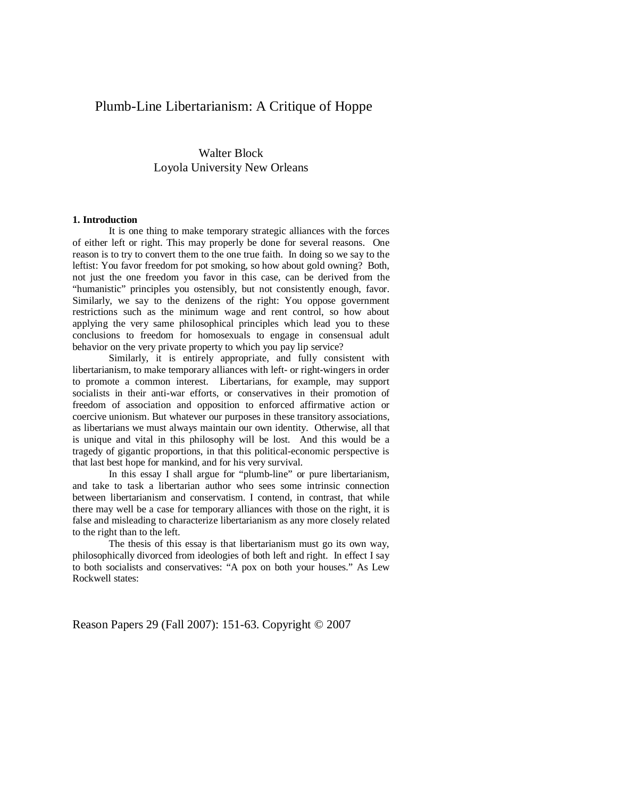# Plumb-Line Libertarianism: A Critique of Hoppe

# Walter Block Loyola University New Orleans

#### **1. Introduction**

It is one thing to make temporary strategic alliances with the forces of either left or right. This may properly be done for several reasons. One reason is to try to convert them to the one true faith. In doing so we say to the leftist: You favor freedom for pot smoking, so how about gold owning? Both, not just the one freedom you favor in this case, can be derived from the "humanistic" principles you ostensibly, but not consistently enough, favor. Similarly, we say to the denizens of the right: You oppose government restrictions such as the minimum wage and rent control, so how about applying the very same philosophical principles which lead you to these conclusions to freedom for homosexuals to engage in consensual adult behavior on the very private property to which you pay lip service?

Similarly, it is entirely appropriate, and fully consistent with libertarianism, to make temporary alliances with left- or right-wingers in order to promote a common interest. Libertarians, for example, may support socialists in their anti-war efforts, or conservatives in their promotion of freedom of association and opposition to enforced affirmative action or coercive unionism. But whatever our purposes in these transitory associations, as libertarians we must always maintain our own identity. Otherwise, all that is unique and vital in this philosophy will be lost. And this would be a tragedy of gigantic proportions, in that this political-economic perspective is that last best hope for mankind, and for his very survival.

In this essay I shall argue for "plumb-line" or pure libertarianism, and take to task a libertarian author who sees some intrinsic connection between libertarianism and conservatism. I contend, in contrast, that while there may well be a case for temporary alliances with those on the right, it is false and misleading to characterize libertarianism as any more closely related to the right than to the left.

The thesis of this essay is that libertarianism must go its own way, philosophically divorced from ideologies of both left and right. In effect I say to both socialists and conservatives: "A pox on both your houses." As Lew Rockwell states: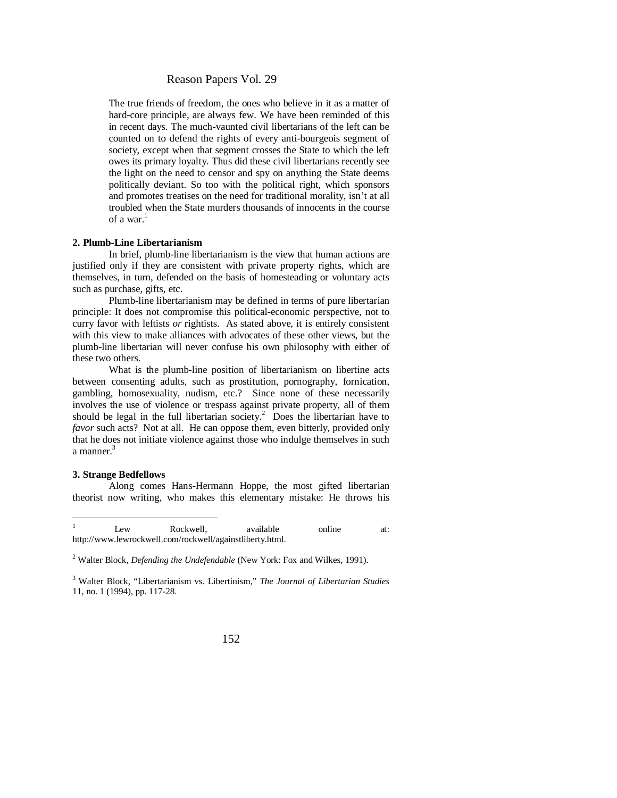The true friends of freedom, the ones who believe in it as a matter of hard-core principle, are always few. We have been reminded of this in recent days. The much-vaunted civil libertarians of the left can be counted on to defend the rights of every anti-bourgeois segment of society, except when that segment crosses the State to which the left owes its primary loyalty. Thus did these civil libertarians recently see the light on the need to censor and spy on anything the State deems politically deviant. So too with the political right, which sponsors and promotes treatises on the need for traditional morality, isn't at all troubled when the State murders thousands of innocents in the course of a war $<sup>1</sup>$ </sup>

#### **2. Plumb-Line Libertarianism**

In brief, plumb-line libertarianism is the view that human actions are justified only if they are consistent with private property rights, which are themselves, in turn, defended on the basis of homesteading or voluntary acts such as purchase, gifts, etc.

Plumb-line libertarianism may be defined in terms of pure libertarian principle: It does not compromise this political-economic perspective, not to curry favor with leftists *or* rightists. As stated above, it is entirely consistent with this view to make alliances with advocates of these other views, but the plumb-line libertarian will never confuse his own philosophy with either of these two others.

What is the plumb-line position of libertarianism on libertine acts between consenting adults, such as prostitution, pornography, fornication, gambling, homosexuality, nudism, etc.? Since none of these necessarily involves the use of violence or trespass against private property, all of them should be legal in the full libertarian society.<sup>2</sup> Does the libertarian have to *favor* such acts? Not at all. He can oppose them, even bitterly, provided only that he does not initiate violence against those who indulge themselves in such a manner.<sup>3</sup>

#### **3. Strange Bedfellows**

Along comes Hans-Hermann Hoppe, the most gifted libertarian theorist now writing, who makes this elementary mistake: He throws his

<sup>1</sup> Lew Rockwell, available online at: <http://www.lewrockwell.com/rockwell/againstliberty.html.>

<sup>2</sup> Walter Block, *Defending the Undefendable* (New York: Fox and Wilkes, 1991).

<sup>3</sup> Walter Block, "Libertarianism vs. Libertinism," *The Journal of Libertarian Studies* 11, no. 1 (1994), pp. 117-28.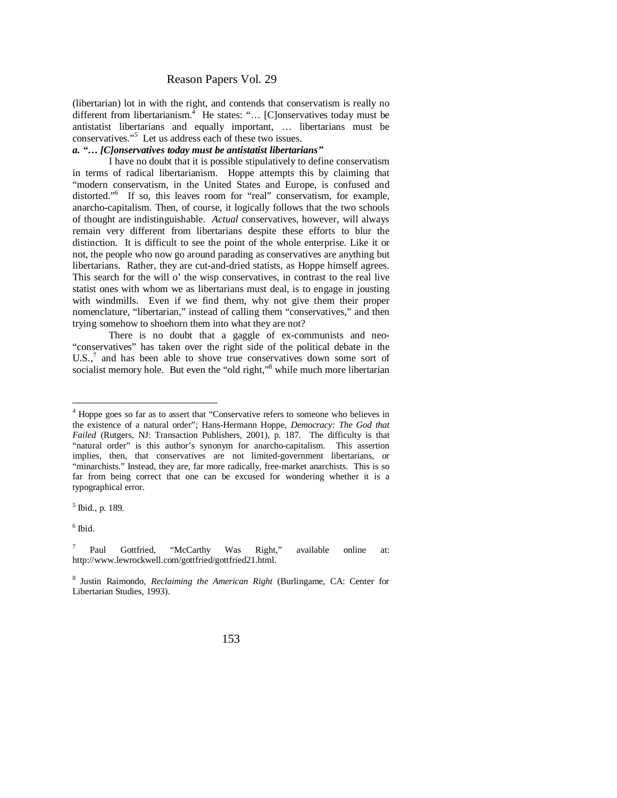(libertarian) lot in with the right, and contends that conservatism is really no different from libertarianism.<sup>4</sup> He states: "... [C]onservatives today must be antistatist libertarians and equally important, … libertarians must be conservatives."<sup>5</sup> Let us address each of these two issues.

#### *a. ³« [C]onservatives today must be antistatist libertarians´*

I have no doubt that it is possible stipulatively to define conservatism in terms of radical libertarianism. Hoppe attempts this by claiming that "modern conservatism, in the United States and Europe, is confused and distorted."<sup>6</sup> If so, this leaves room for "real" conservatism, for example, anarcho-capitalism. Then, of course, it logically follows that the two schools of thought are indistinguishable. *Actual* conservatives, however, will always remain very different from libertarians despite these efforts to blur the distinction. It is difficult to see the point of the whole enterprise. Like it or not, the people who now go around parading as conservatives are anything but libertarians. Rather, they are cut-and-dried statists, as Hoppe himself agrees. This search for the will o' the wisp conservatives, in contrast to the real live statist ones with whom we as libertarians must deal, is to engage in jousting with windmills. Even if we find them, why not give them their proper nomenclature, "libertarian," instead of calling them "conservatives," and then trying somehow to shoehorn them into what they are not?

There is no doubt that a gaggle of ex-communists and neo- "conservatives" has taken over the right side of the political debate in the  $U.S.$ , $^7$  and has been able to shove true conservatives down some sort of socialist memory hole. But even the "old right,"<sup>8</sup> while much more libertarian

6 Ibid.

<sup>&</sup>lt;sup>4</sup> Hoppe goes so far as to assert that "Conservative refers to someone who believes in the existence of a natural order"; Hans-Hermann Hoppe, *Democracy: The God that Failed* (Rutgers, NJ: Transaction Publishers, 2001), p. 187. The difficulty is that "natural order" is this author's synonym for anarcho-capitalism. This assertion implies, then, that conservatives are not limited-government libertarians, or "minarchists." Instead, they are, far more radically, free-market anarchists. This is so far from being correct that one can be excused for wondering whether it is a typographical error.

<sup>5</sup> Ibid., p. 189.

<sup>7</sup> Paul Gottfried, "McCarthy Was Right," available online at: <http://www.lewrockwell.com/gottfried/gottfried21.html.>

<sup>8</sup> Justin Raimondo, *Reclaiming the American Right* (Burlingame, CA: Center for Libertarian Studies, 1993).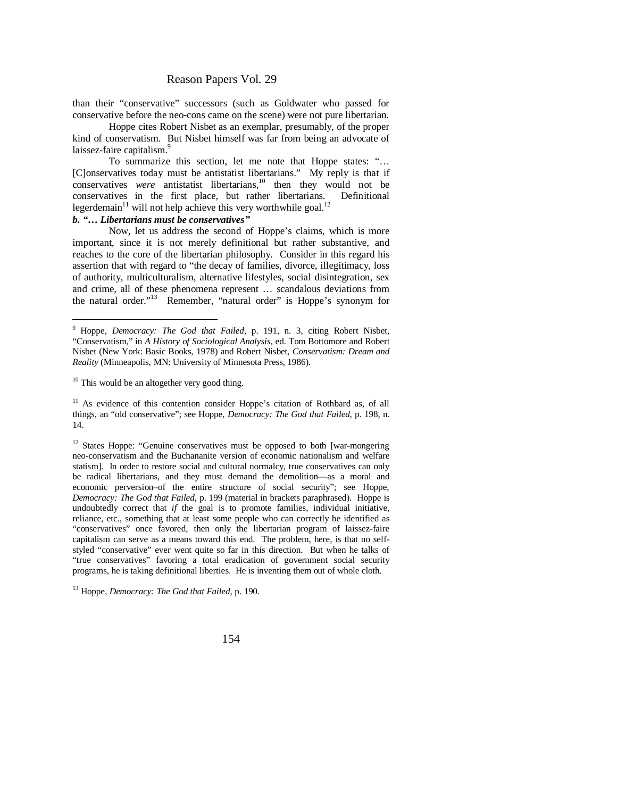than their "conservative" successors (such as Goldwater who passed for conservative before the neo-cons came on the scene) were not pure libertarian.

Hoppe cites Robert Nisbet as an exemplar, presumably, of the proper kind of conservatism. But Nisbet himself was far from being an advocate of laissez-faire capitalism.<sup>9</sup>

To summarize this section, let me note that Hoppe states: "… [C]onservatives today must be antistatist libertarians." My reply is that if conservatives *were* antistatist libertarians,<sup>10</sup> then they would not be conservatives in the first place, but rather libertarians. Definitional legerdemain $^{11}$  will not help achieve this very worthwhile goal.<sup>12</sup>

#### *b. ³« Libertarians must be conservatives´*

Now, let us address the second of Hoppe's claims, which is more important, since it is not merely definitional but rather substantive, and reaches to the core of the libertarian philosophy. Consider in this regard his assertion that with regard to "the decay of families, divorce, illegitimacy, loss of authority, multiculturalism, alternative lifestyles, social disintegration, sex and crime, all of these phenomena represent … scandalous deviations from the natural order."<sup>13</sup> Remember, "natural order" is Hoppe's synonym for

<sup>10</sup> This would be an altogether very good thing.

<sup>13</sup> Hoppe, *Democracy: The God that Failed*, p. 190.

<sup>&</sup>lt;sup>9</sup> Hoppe, *Democracy: The God that Failed*, p. 191, n. 3, citing Robert Nisbet, "Conservatism," in *A History of Sociological Analysis*, ed. Tom Bottomore and Robert Nisbet (New York: Basic Books, 1978) and Robert Nisbet, *Conservatism: Dream and Reality* (Minneapolis, MN: University of Minnesota Press, 1986).

<sup>&</sup>lt;sup>11</sup> As evidence of this contention consider Hoppe's citation of Rothbard as, of all things, an "old conservative"; see Hoppe, *Democracy: The God that Failed*, p. 198, n. 14.

<sup>&</sup>lt;sup>12</sup> States Hoppe: "Genuine conservatives must be opposed to both [war-mongering neo-conservatism and the Buchananite version of economic nationalism and welfare statism]. In order to restore social and cultural normalcy, true conservatives can only be radical libertarians, and they must demand the demolition—as a moral and economic perversion–of the entire structure of social security"; see Hoppe, *Democracy: The God that Failed*, p. 199 (material in brackets paraphrased). Hoppe is undoubtedly correct that *if* the goal is to promote families, individual initiative, reliance, etc., something that at least some people who can correctly be identified as "conservatives" once favored, then only the libertarian program of laissez-faire capitalism can serve as a means toward this end. The problem, here, is that no selfstyled "conservative" ever went quite so far in this direction. But when he talks of "true conservatives" favoring a total eradication of government social security programs, he is taking definitional liberties. He is inventing them out of whole cloth.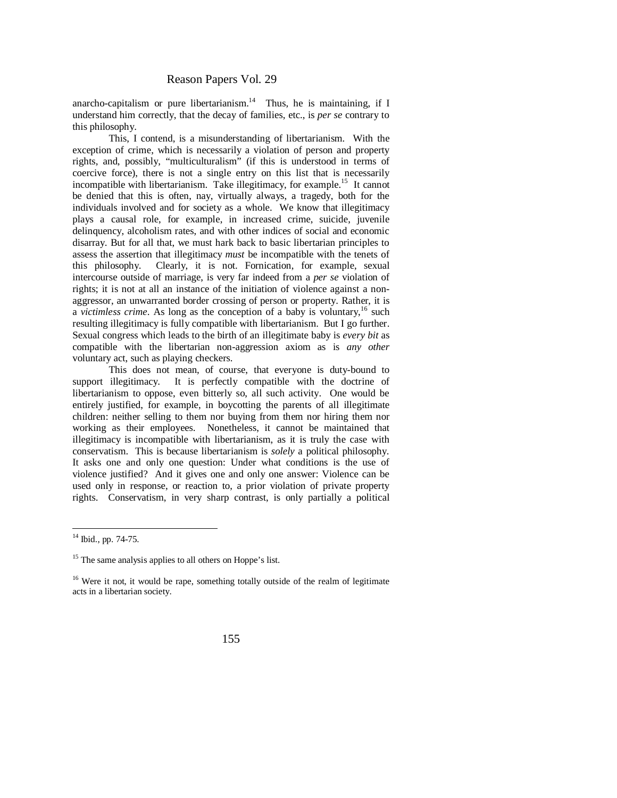anarcho-capitalism or pure libertarianism. $14$  Thus, he is maintaining, if I understand him correctly, that the decay of families, etc., is *per se* contrary to this philosophy.

This, I contend, is a misunderstanding of libertarianism. With the exception of crime, which is necessarily a violation of person and property rights, and, possibly, "multiculturalism" (if this is understood in terms of coercive force), there is not a single entry on this list that is necessarily incompatible with libertarianism. Take illegitimacy, for example.<sup>15</sup> It cannot be denied that this is often, nay, virtually always, a tragedy, both for the individuals involved and for society as a whole. We know that illegitimacy plays a causal role, for example, in increased crime, suicide, juvenile delinquency, alcoholism rates, and with other indices of social and economic disarray. But for all that, we must hark back to basic libertarian principles to assess the assertion that illegitimacy *must* be incompatible with the tenets of this philosophy. Clearly, it is not. Fornication, for example, sexual intercourse outside of marriage, is very far indeed from a *per se* violation of rights; it is not at all an instance of the initiation of violence against a nonaggressor, an unwarranted border crossing of person or property. Rather, it is a *victimless crime*. As long as the conception of a baby is voluntary,<sup>16</sup> such resulting illegitimacy is fully compatible with libertarianism. But I go further. Sexual congress which leads to the birth of an illegitimate baby is *every bit* as compatible with the libertarian non-aggression axiom as is *any other* voluntary act, such as playing checkers.

This does not mean, of course, that everyone is duty-bound to support illegitimacy. It is perfectly compatible with the doctrine of libertarianism to oppose, even bitterly so, all such activity. One would be entirely justified, for example, in boycotting the parents of all illegitimate children: neither selling to them nor buying from them nor hiring them nor working as their employees. Nonetheless, it cannot be maintained that illegitimacy is incompatible with libertarianism, as it is truly the case with conservatism. This is because libertarianism is *solely* a political philosophy. It asks one and only one question: Under what conditions is the use of violence justified? And it gives one and only one answer: Violence can be used only in response, or reaction to, a prior violation of private property rights. Conservatism, in very sharp contrast, is only partially a political

<sup>&</sup>lt;sup>14</sup> Ibid., pp. 74-75.

<sup>&</sup>lt;sup>15</sup> The same analysis applies to all others on Hoppe's list.

<sup>&</sup>lt;sup>16</sup> Were it not, it would be rape, something totally outside of the realm of legitimate acts in a libertarian society.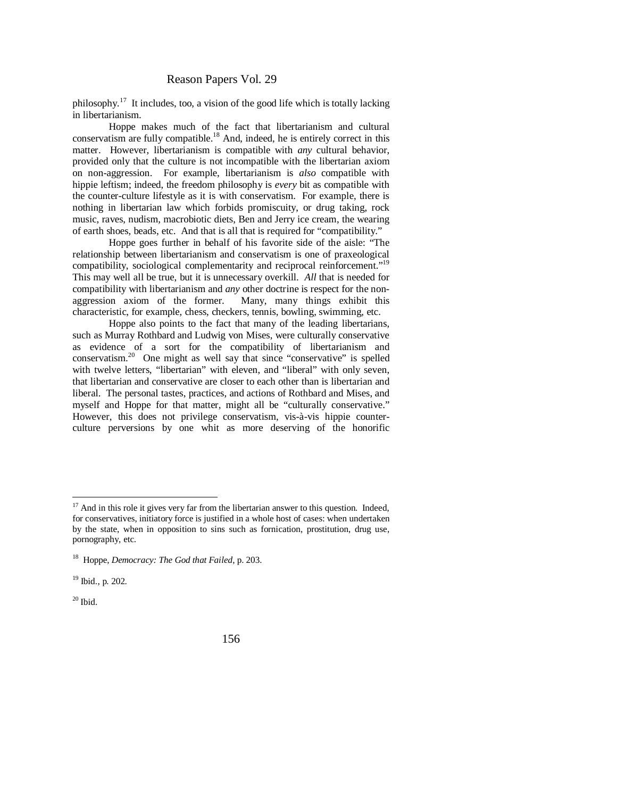philosophy.<sup>17</sup> It includes, too, a vision of the good life which is totally lacking in libertarianism.

Hoppe makes much of the fact that libertarianism and cultural conservatism are fully compatible.<sup>18</sup> And, indeed, he is entirely correct in this matter. However, libertarianism is compatible with *any* cultural behavior, provided only that the culture is not incompatible with the libertarian axiom on non-aggression. For example, libertarianism is *also* compatible with hippie leftism; indeed, the freedom philosophy is *every* bit as compatible with the counter-culture lifestyle as it is with conservatism. For example, there is nothing in libertarian law which forbids promiscuity, or drug taking, rock music, raves, nudism, macrobiotic diets, Ben and Jerry ice cream, the wearing of earth shoes, beads, etc. And that is all that is required for "compatibility."

Hoppe goes further in behalf of his favorite side of the aisle: "The relationship between libertarianism and conservatism is one of praxeological compatibility, sociological complementarity and reciprocal reinforcement."<sup>19</sup> This may well all be true, but it is unnecessary overkill. *All* that is needed for compatibility with libertarianism and *any* other doctrine is respect for the nonaggression axiom of the former. Many, many things exhibit this characteristic, for example, chess, checkers, tennis, bowling, swimming, etc.

Hoppe also points to the fact that many of the leading libertarians, such as Murray Rothbard and Ludwig von Mises, were culturally conservative as evidence of a sort for the compatibility of libertarianism and conservatism.<sup>20</sup> One might as well say that since "conservative" is spelled with twelve letters, "libertarian" with eleven, and "liberal" with only seven, that libertarian and conservative are closer to each other than is libertarian and liberal. The personal tastes, practices, and actions of Rothbard and Mises, and myself and Hoppe for that matter, might all be "culturally conservative." However, this does not privilege conservatism, vis-à-vis hippie counterculture perversions by one whit as more deserving of the honorific

 $17$  And in this role it gives very far from the libertarian answer to this question. Indeed, for conservatives, initiatory force is justified in a whole host of cases: when undertaken by the state, when in opposition to sins such as fornication, prostitution, drug use, pornography, etc.

<sup>18</sup> Hoppe, *Democracy: The God that Failed*, p. 203.

<sup>19</sup> Ibid., p. 202.

 $20$  Ibid.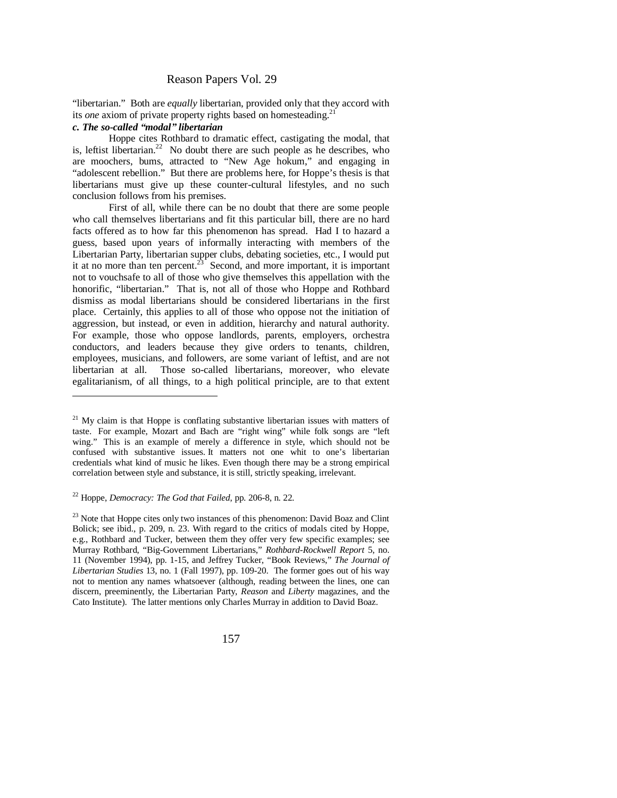"libertarian." Both are *equally* libertarian, provided only that they accord with its *one* axiom of private property rights based on homesteading.<sup>21</sup>

#### *c. The so-called ³modal´ libertarian*

Hoppe cites Rothbard to dramatic effect, castigating the modal, that is, leftist libertarian.<sup>22</sup> No doubt there are such people as he describes, who are moochers, bums, attracted to "New Age hokum," and engaging in "adolescent rebellion." But there are problems here, for Hoppe's thesis is that libertarians must give up these counter-cultural lifestyles, and no such conclusion follows from his premises.

First of all, while there can be no doubt that there are some people who call themselves libertarians and fit this particular bill, there are no hard facts offered as to how far this phenomenon has spread. Had I to hazard a guess, based upon years of informally interacting with members of the Libertarian Party, libertarian supper clubs, debating societies, etc., I would put it at no more than ten percent.<sup>23</sup> Second, and more important, it is important not to vouchsafe to all of those who give themselves this appellation with the honorific, "libertarian." That is, not all of those who Hoppe and Rothbard dismiss as modal libertarians should be considered libertarians in the first place. Certainly, this applies to all of those who oppose not the initiation of aggression, but instead, or even in addition, hierarchy and natural authority. For example, those who oppose landlords, parents, employers, orchestra conductors, and leaders because they give orders to tenants, children, employees, musicians, and followers, are some variant of leftist, and are not libertarian at all. Those so-called libertarians, moreover, who elevate egalitarianism, of all things, to a high political principle, are to that extent

<sup>22</sup> Hoppe, *Democracy: The God that Failed*, pp. 206-8, n. 22.

 $21$  My claim is that Hoppe is conflating substantive libertarian issues with matters of taste. For example, Mozart and Bach are "right wing" while folk songs are "left wing." This is an example of merely a difference in style, which should not be confused with substantive issues. It matters not one whit to one's libertarian credentials what kind of music he likes. Even though there may be a strong empirical correlation between style and substance, it is still, strictly speaking, irrelevant.

 $^{23}$  Note that Hoppe cites only two instances of this phenomenon: David Boaz and Clint Bolick; see ibid., p. 209, n. 23. With regard to the critics of modals cited by Hoppe, e.g., Rothbard and Tucker, between them they offer very few specific examples; see Murray Rothbard, "Big-Government Libertarians," *Rothbard-Rockwell Report* 5, no. 11 (November 1994), pp. 1-15, and Jeffrey Tucker, "Book Reviews," *The Journal of Libertarian Studies* 13, no. 1 (Fall 1997), pp. 109-20. The former goes out of his way not to mention any names whatsoever (although, reading between the lines, one can discern, preeminently, the Libertarian Party, *Reason* and *Liberty* magazines, and the Cato Institute). The latter mentions only Charles Murray in addition to David Boaz.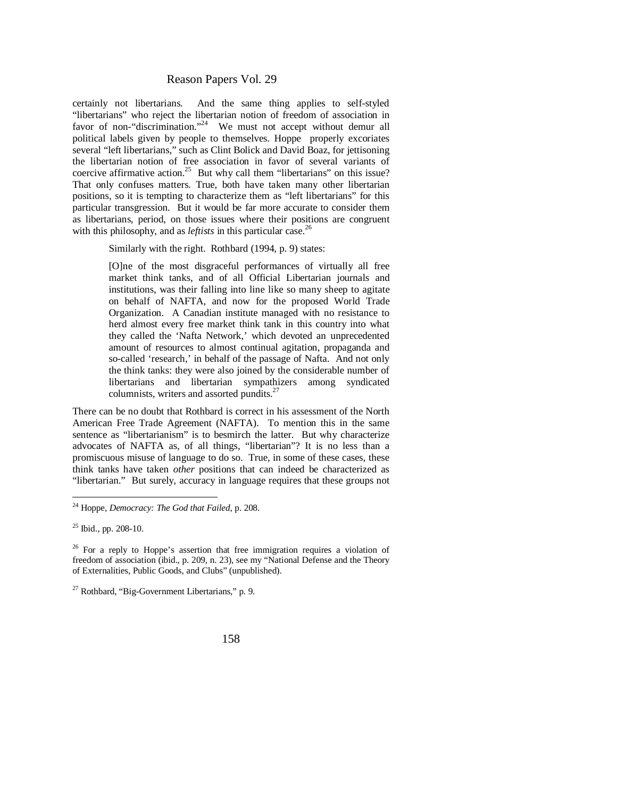certainly not libertarians. And the same thing applies to self-styled "libertarians" who reject the libertarian notion of freedom of association in favor of non-"discrimination."<sup>24</sup> We must not accept without demur all political labels given by people to themselves. Hoppe properly excoriates several "left libertarians," such as Clint Bolick and David Boaz, for jettisoning the libertarian notion of free association in favor of several variants of coercive affirmative action.<sup>25</sup> But why call them "libertarians" on this issue? That only confuses matters. True, both have taken many other libertarian positions, so it is tempting to characterize them as "left libertarians" for this particular transgression. But it would be far more accurate to consider them as libertarians, period, on those issues where their positions are congruent with this philosophy, and as *leftists* in this particular case.<sup>26</sup>

Similarly with the right. Rothbard (1994, p. 9) states:

[O]ne of the most disgraceful performances of virtually all free market think tanks, and of all Official Libertarian journals and institutions, was their falling into line like so many sheep to agitate on behalf of NAFTA, and now for the proposed World Trade Organization. A Canadian institute managed with no resistance to herd almost every free market think tank in this country into what they called the 'Nafta Network,' which devoted an unprecedented amount of resources to almost continual agitation, propaganda and so-called 'research,' in behalf of the passage of Nafta. And not only the think tanks: they were also joined by the considerable number of libertarians and libertarian sympathizers among syndicated columnists, writers and assorted pundits.<sup>27</sup>

There can be no doubt that Rothbard is correct in his assessment of the North American Free Trade Agreement (NAFTA). To mention this in the same sentence as "libertarianism" is to besmirch the latter. But why characterize advocates of NAFTA as, of all things, "libertarian"? It is no less than a promiscuous misuse of language to do so. True, in some of these cases, these think tanks have taken *other* positions that can indeed be characterized as "libertarian." But surely, accuracy in language requires that these groups not

 $27$  Rothbard, "Big-Government Libertarians," p. 9.

<sup>24</sup> Hoppe, *Democracy: The God that Failed*, p. 208.

 $^{25}$  Ibid., pp. 208-10.

<sup>&</sup>lt;sup>26</sup> For a reply to Hoppe's assertion that free immigration requires a violation of freedom of association (ibid., p. 209, n. 23), see my "National Defense and the Theory of Externalities, Public Goods, and Clubs" (unpublished).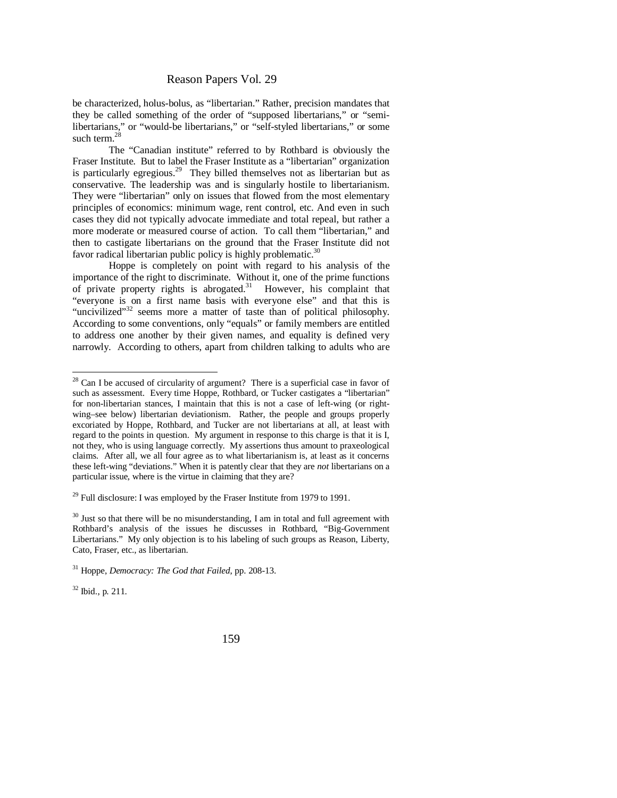be characterized, holus-bolus, as "libertarian." Rather, precision mandates that they be called something of the order of "supposed libertarians," or "semilibertarians," or "would-be libertarians," or "self-styled libertarians," or some such term  $^{28}$ 

The "Canadian institute" referred to by Rothbard is obviously the Fraser Institute. But to label the Fraser Institute as a "libertarian" organization is particularly egregious.<sup>29</sup> They billed themselves not as libertarian but as conservative. The leadership was and is singularly hostile to libertarianism. They were "libertarian" only on issues that flowed from the most elementary principles of economics: minimum wage, rent control, etc. And even in such cases they did not typically advocate immediate and total repeal, but rather a more moderate or measured course of action. To call them "libertarian," and then to castigate libertarians on the ground that the Fraser Institute did not favor radical libertarian public policy is highly problematic.<sup>30</sup>

Hoppe is completely on point with regard to his analysis of the importance of the right to discriminate. Without it, one of the prime functions of private property rights is abrogated.<sup>31</sup> However, his complaint that "everyone is on a first name basis with everyone else" and that this is "uncivilized"<sup>32</sup> seems more a matter of taste than of political philosophy. According to some conventions, only "equals" or family members are entitled to address one another by their given names, and equality is defined very narrowly. According to others, apart from children talking to adults who are

 $32$  Ibid., p. 211.

 $28$  Can I be accused of circularity of argument? There is a superficial case in favor of such as assessment. Every time Hoppe, Rothbard, or Tucker castigates a "libertarian" for non-libertarian stances, I maintain that this is not a case of left-wing (or rightwing–see below) libertarian deviationism. Rather, the people and groups properly excoriated by Hoppe, Rothbard, and Tucker are not libertarians at all, at least with regard to the points in question. My argument in response to this charge is that it is I, not they, who is using language correctly. My assertions thus amount to praxeological claims. After all, we all four agree as to what libertarianism is, at least as it concerns these left-wing "deviations." When it is patently clear that they are *not* libertarians on a particular issue, where is the virtue in claiming that they are?

 $29$  Full disclosure: I was employed by the Fraser Institute from 1979 to 1991.

 $30$  Just so that there will be no misunderstanding, I am in total and full agreement with Rothbard's analysis of the issues he discusses in Rothbard, "Big-Government Libertarians." My only objection is to his labeling of such groups as Reason, Liberty, Cato, Fraser, etc., as libertarian.

<sup>31</sup> Hoppe, *Democracy: The God that Failed*, pp. 208-13.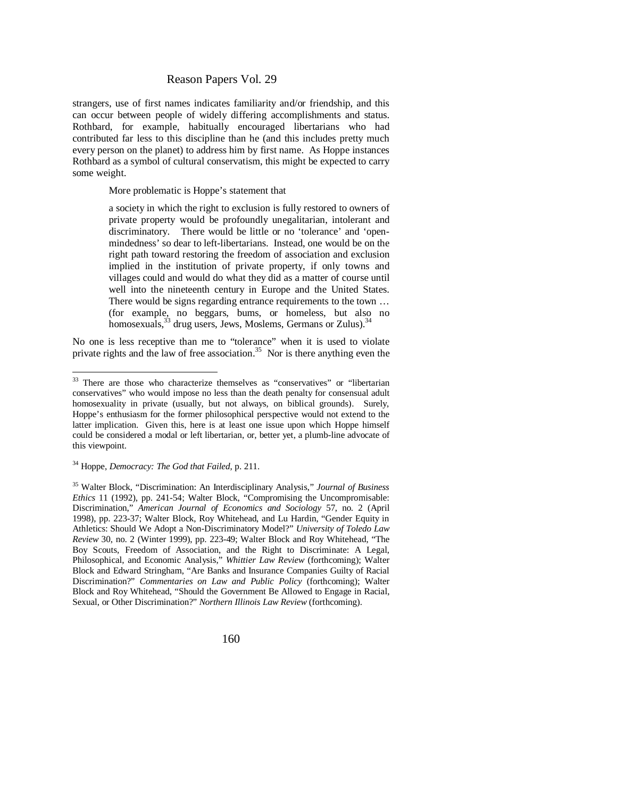strangers, use of first names indicates familiarity and/or friendship, and this can occur between people of widely differing accomplishments and status. Rothbard, for example, habitually encouraged libertarians who had contributed far less to this discipline than he (and this includes pretty much every person on the planet) to address him by first name. As Hoppe instances Rothbard as a symbol of cultural conservatism, this might be expected to carry some weight.

More problematic is Hoppe's statement that

a society in which the right to exclusion is fully restored to owners of private property would be profoundly unegalitarian, intolerant and discriminatory. There would be little or no 'tolerance' and 'openmindedness' so dear to left-libertarians. Instead, one would be on the right path toward restoring the freedom of association and exclusion implied in the institution of private property, if only towns and villages could and would do what they did as a matter of course until well into the nineteenth century in Europe and the United States. There would be signs regarding entrance requirements to the town … (for example, no beggars, bums, or homeless, but also no homosexuals,  $33$  drug users, Jews, Moslems, Germans or Zulus).  $34$ 

No one is less receptive than me to "tolerance" when it is used to violate private rights and the law of free association.<sup>35</sup> Nor is there anything even the

<sup>&</sup>lt;sup>33</sup> There are those who characterize themselves as "conservatives" or "libertarian conservatives" who would impose no less than the death penalty for consensual adult homosexuality in private (usually, but not always, on biblical grounds). Surely, Hoppe's enthusiasm for the former philosophical perspective would not extend to the latter implication. Given this, here is at least one issue upon which Hoppe himself could be considered a modal or left libertarian, or, better yet, a plumb-line advocate of this viewpoint.

<sup>34</sup> Hoppe, *Democracy: The God that Failed*, p. 211.

<sup>35</sup> Walter Block, "Discrimination: An Interdisciplinary Analysis," *Journal of Business Ethics* 11 (1992), pp. 241-54; Walter Block, "Compromising the Uncompromisable: Discrimination," *American Journal of Economics and Sociology* 57, no. 2 (April 1998), pp. 223-37; Walter Block, Roy Whitehead, and Lu Hardin, "Gender Equity in Athletics: Should We Adopt a Non-Discriminatory Model?" *University of Toledo Law Review* 30, no. 2 (Winter 1999), pp. 223-49; Walter Block and Roy Whitehead, "The Boy Scouts, Freedom of Association, and the Right to Discriminate: A Legal, Philosophical, and Economic Analysis," *Whittier Law Review* (forthcoming); Walter Block and Edward Stringham, "Are Banks and Insurance Companies Guilty of Racial Discrimination?" *Commentaries on Law and Public Policy* (forthcoming); Walter Block and Roy Whitehead, "Should the Government Be Allowed to Engage in Racial, Sexual, or Other Discrimination?" *Northern Illinois Law Review* (forthcoming).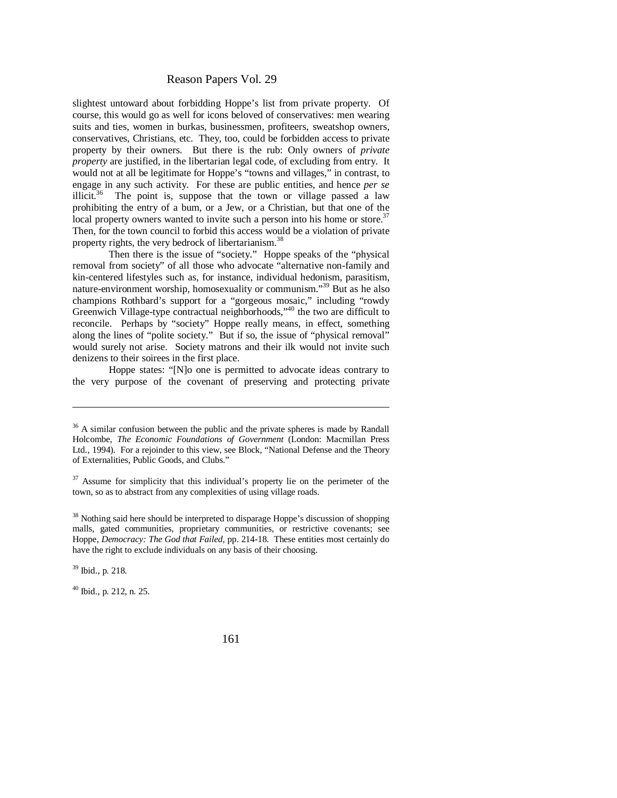slightest untoward about forbidding Hoppe's list from private property. Of course, this would go as well for icons beloved of conservatives: men wearing suits and ties, women in burkas, businessmen, profiteers, sweatshop owners, conservatives, Christians, etc. They, too, could be forbidden access to private property by their owners. But there is the rub: Only owners of *private property* are justified, in the libertarian legal code, of excluding from entry. It would not at all be legitimate for Hoppe's "towns and villages," in contrast, to engage in any such activity. For these are public entities, and hence *per se* illicit.<sup>36</sup> The point is, suppose that the town or village passed a law prohibiting the entry of a bum, or a Jew, or a Christian, but that one of the local property owners wanted to invite such a person into his home or store.<sup>37</sup> Then, for the town council to forbid this access would be a violation of private property rights, the very bedrock of libertarianism.<sup>38</sup>

Then there is the issue of "society." Hoppe speaks of the "physical removal from society" of all those who advocate "alternative non-family and kin-centered lifestyles such as, for instance, individual hedonism, parasitism, nature-environment worship, homosexuality or communism."<sup>39</sup> But as he also champions Rothbard's support for a "gorgeous mosaic," including "rowdy Greenwich Village-type contractual neighborhoods,"<sup>40</sup> the two are difficult to reconcile. Perhaps by "society" Hoppe really means, in effect, something along the lines of "polite society." But if so, the issue of "physical removal" would surely not arise. Society matrons and their ilk would not invite such denizens to their soirees in the first place.

 Hoppe states: "[N]o one is permitted to advocate ideas contrary to the very purpose of the covenant of preserving and protecting private

<sup>&</sup>lt;sup>36</sup> A similar confusion between the public and the private spheres is made by Randall Holcombe, *The Economic Foundations of Government* (London: Macmillan Press Ltd., 1994). For a rejoinder to this view, see Block, "National Defense and the Theory of Externalities, Public Goods, and Clubs."

<sup>&</sup>lt;sup>37</sup> Assume for simplicity that this individual's property lie on the perimeter of the town, so as to abstract from any complexities of using village roads.

<sup>&</sup>lt;sup>38</sup> Nothing said here should be interpreted to disparage Hoppe's discussion of shopping malls, gated communities, proprietary communities, or restrictive covenants; see Hoppe, *Democracy: The God that Failed*, pp. 214-18. These entities most certainly do have the right to exclude individuals on any basis of their choosing.

<sup>39</sup> Ibid., p. 218.

 $40$  Ibid., p. 212, n. 25.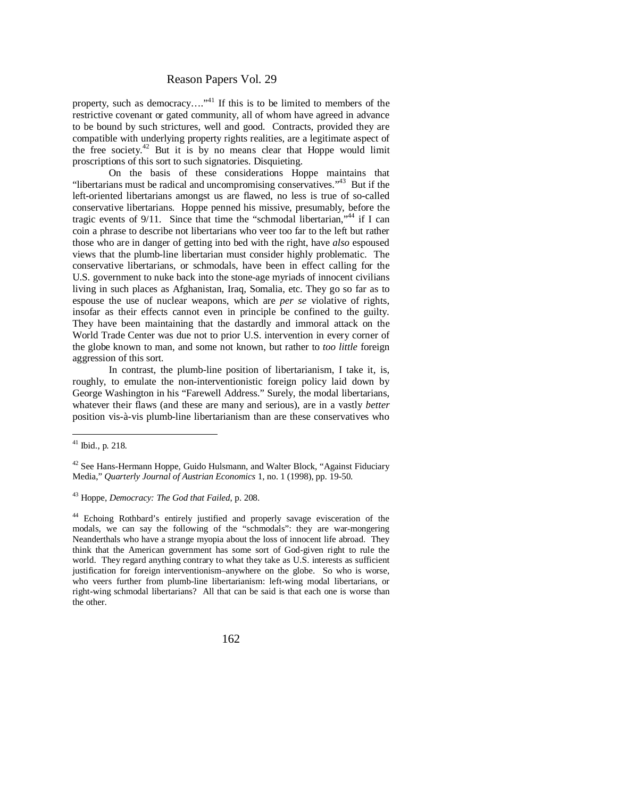property, such as democracy...."<sup>41</sup> If this is to be limited to members of the restrictive covenant or gated community, all of whom have agreed in advance to be bound by such strictures, well and good. Contracts, provided they are compatible with underlying property rights realities, are a legitimate aspect of the free society.<sup>42</sup> But it is by no means clear that Hoppe would limit proscriptions of this sort to such signatories. Disquieting.

On the basis of these considerations Hoppe maintains that "libertarians must be radical and uncompromising conservatives."<sup>43</sup> But if the left-oriented libertarians amongst us are flawed, no less is true of so-called conservative libertarians. Hoppe penned his missive, presumably, before the tragic events of 9/11. Since that time the "schmodal libertarian,"<sup>44</sup> if I can coin a phrase to describe not libertarians who veer too far to the left but rather those who are in danger of getting into bed with the right, have *also* espoused views that the plumb-line libertarian must consider highly problematic. The conservative libertarians, or schmodals, have been in effect calling for the U.S. government to nuke back into the stone-age myriads of innocent civilians living in such places as Afghanistan, Iraq, Somalia, etc. They go so far as to espouse the use of nuclear weapons, which are *per se* violative of rights, insofar as their effects cannot even in principle be confined to the guilty. They have been maintaining that the dastardly and immoral attack on the World Trade Center was due not to prior U.S. intervention in every corner of the globe known to man, and some not known, but rather to *too little* foreign aggression of this sort.

In contrast, the plumb-line position of libertarianism, I take it, is, roughly, to emulate the non-interventionistic foreign policy laid down by George Washington in his "Farewell Address." Surely, the modal libertarians, whatever their flaws (and these are many and serious), are in a vastly *better* position vis-à-vis plumb-line libertarianism than are these conservatives who

 $41$  Ibid., p. 218.

 $42$  See Hans-Hermann Hoppe, Guido Hulsmann, and Walter Block, "Against Fiduciary Media," *Quarterly Journal of Austrian Economics* 1, no. 1 (1998), pp. 19-50.

<sup>43</sup> Hoppe, *Democracy: The God that Failed*, p. 208.

<sup>&</sup>lt;sup>44</sup> Echoing Rothbard's entirely justified and properly savage evisceration of the modals, we can say the following of the "schmodals": they are war-mongering Neanderthals who have a strange myopia about the loss of innocent life abroad. They think that the American government has some sort of God-given right to rule the world. They regard anything contrary to what they take as U.S. interests as sufficient justification for foreign interventionism–anywhere on the globe. So who is worse, who veers further from plumb-line libertarianism: left-wing modal libertarians, or right-wing schmodal libertarians? All that can be said is that each one is worse than the other.